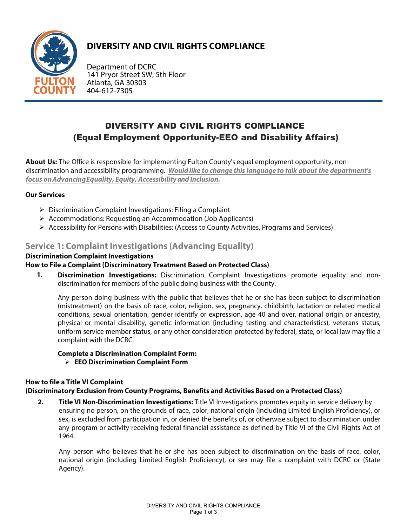

# **DIVERSITY AND CIVIL RIGHTS COMPLIANCE**

Department of DCRC 141 Pryor Street SW, 5th Floor Atlanta, GA 30303 404-612-7305

# **DIVERSITY AND CIVIL RIGHTS COMPLIANCE (Equal Employment Opportunity-EEO and Disability Affairs)**

**About Us:** The Office is responsible for implementing Fulton County's equal employment opportunity, nondiscrimination and accessibility programming. **Would like to change this language to talk about the department's focus onAdvancing Equality, Equity, Accessibility and Inclusion.** 

### **Our Services**

- $\triangleright$  Discrimination Complaint Investigations: Filing a Complaint
- $\triangleright$  Accommodations: Requesting an Accommodation (Job Applicants)
- $\triangleright$  Accessibility for Persons with Disabilities: (Access to County Activities, Programs and Services)

# **Service 1: Complaint Investigations (Advancing Equality)**

#### **Discrimination Complaint Investigations**

### **How to File a Complaint (Discriminatory Treatment Based on Protected Class)**

**Discrimination Investigations:** Discrimination Complaint Investigations promote equality and nondiscrimination for members of the public doing business with the County. **1**.

Any person doing business with the public that believes that he or she has been subject to discrimination (mistreatment) on the basis of: race, color, religion, sex, pregnancy, childbirth, lactation or related medical conditions, sexual orientation, gender identify or expression, age 40 and over, national origin or ancestry, physical or mental disability, genetic information {including testing and characteristics), veterans status, uniform service member status, or any other consideration protected by federal, state, or local law may file a complaint with the DCRC.

### **Complete a Discrimination Complaint Form:**

**EEO Discrimination Complaint Form**

# **How to file a Title VI Complaint**

# **(Discriminatory Exclusion from County Programs, Benefits and Activities Based on a Protected Class)**

**Title VI Non-Discrimination Investigations:** Title VI Investigations promotes equity in service delivery by ensuring no person, on the grounds of race, color, national origin (including Limited English Proficiency), or sex, is excluded from participation in, or denied the benefits of, or otherwise subject to discrimination under any program or activity receiving federal financial assistance as defined by Title VI of the Civil Rights Act of 1964. **2.**

Any person who believes that he or she has been subject to discrimination on the basis of race, color, national origin (including Limited English Proficiency), or sex may file a complaint with DCRC or (State Agency).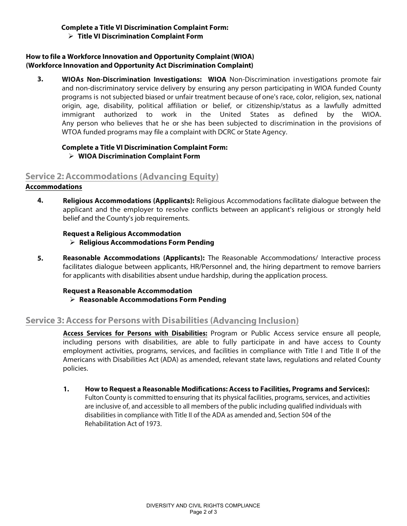#### **Complete a Title VI Discrimination Complaint Form: Title VI Discrimination Complaint Form**

### **How to file a Workforce Innovation and Opportunity Complaint (WIOA) (Workforce Innovation and Opportunity Act Discrimination Complaint)**

**WIOAs Non-Discrimination Investigations: WIOA** Non-Discrimination investigations promote fair and non-discriminatory service delivery by ensuring any person participating in WIOA funded County programs is not subjected biased or unfair treatment because of one's race, color, religion, sex, national origin, age, disability, political affiliation or belief, or citizenship/status as a lawfully admitted immigrant authorized to work in the United States as defined by the WIOA. Any person who believes that he or she has been subjected to discrimination in the provisions of WTOA funded programs may file a complaint with DCRC or State Agency. **3.**

### **Complete a Title VI Discrimination Complaint Form: WIOA Discrimination Complaint Form**

# **Service 2: Accommodations (Advancing Equity)**

### **Accommodations**

**Religious Accommodations (Applicants):** Religious Accommodations facilitate dialogue between the applicant and the employer to resolve conflicts between an applicant's religious or strongly held belief and the County's job requirements. **4.**

# **Request a Religious Accommodation**

- **Religious Accommodations Form Pending**
- **Reasonable Accommodations (Applicants):** The Reasonable Accommodations/ Interactive process facilitates dialogue between applicants, HR/Personnel and, the hiring department to remove barriers for applicants with disabilities absent undue hardship, during the application process. **5.**

### **Request a Reasonable Accommodation**

**Reasonable Accommodations Form Pending**

# **Service 3: Access for Persons with Disabilities (Advancing Inclusion)**

**Access Services for Persons with Disabilities:** Program or Public Access service ensure all people, including persons with disabilities, are able to fully participate in and have access to County employment activities, programs, services, and facilities in compliance with Title I and Title II of the Americans with Disabilities Act (ADA) as amended, relevant state laws, regulations and related County policies.

**How to Request a Reasonable Modifications: Access to Facilities, Programs and Services):** Fulton County is committed to ensuring that its physical facilities, programs, services, and activities are inclusive of, and accessible to all members of the public including qualified individuals with disabilities in compliance with Title II of the ADA as amended and, Section 504 of the Rehabilitation Act of 1973. **1.**